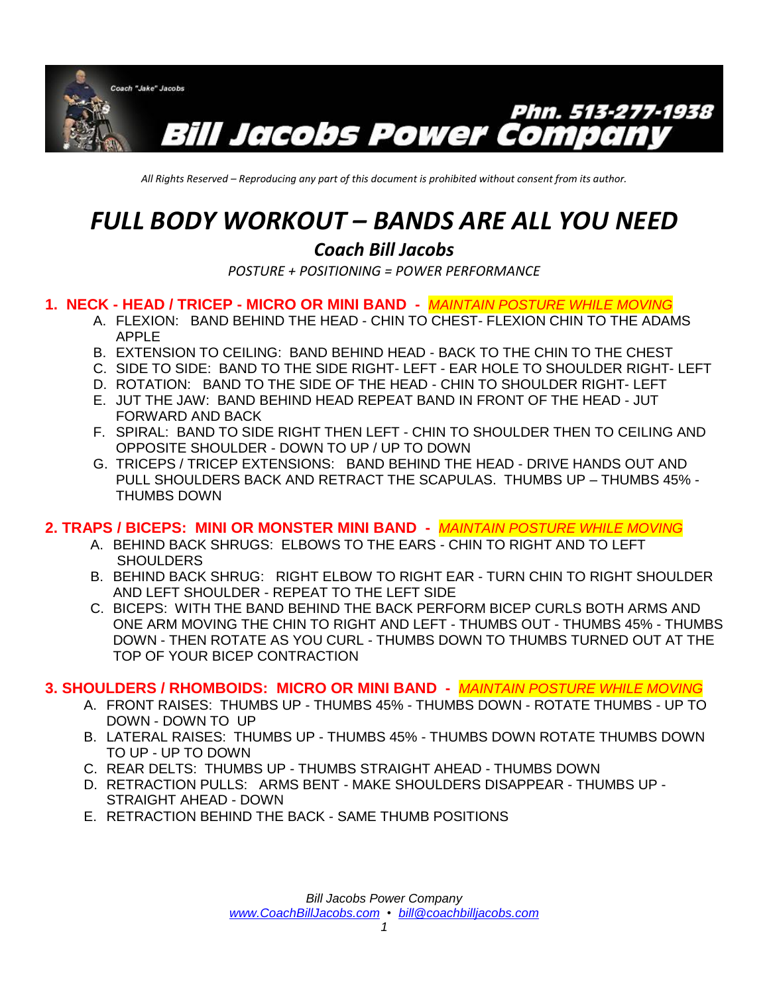

*All Rights Reserved – Reproducing any part of this document is prohibited without consent from its author.*

# *FULL BODY WORKOUT – BANDS ARE ALL YOU NEED*

# *Coach Bill Jacobs*

*POSTURE + POSITIONING = POWER PERFORMANCE* 

# **1. NECK - HEAD / TRICEP - MICRO OR MINI BAND -** *MAINTAIN POSTURE WHILE MOVING*

- A. FLEXION: BAND BEHIND THE HEAD CHIN TO CHEST- FLEXION CHIN TO THE ADAMS APPLE
- B. EXTENSION TO CEILING: BAND BEHIND HEAD BACK TO THE CHIN TO THE CHEST
- C. SIDE TO SIDE: BAND TO THE SIDE RIGHT- LEFT EAR HOLE TO SHOULDER RIGHT- LEFT
- D. ROTATION: BAND TO THE SIDE OF THE HEAD CHIN TO SHOULDER RIGHT- LEFT
- E. JUT THE JAW: BAND BEHIND HEAD REPEAT BAND IN FRONT OF THE HEAD JUT FORWARD AND BACK
- F. SPIRAL: BAND TO SIDE RIGHT THEN LEFT CHIN TO SHOULDER THEN TO CEILING AND OPPOSITE SHOULDER - DOWN TO UP / UP TO DOWN
- G. TRICEPS / TRICEP EXTENSIONS: BAND BEHIND THE HEAD DRIVE HANDS OUT AND PULL SHOULDERS BACK AND RETRACT THE SCAPULAS. THUMBS UP – THUMBS 45% - THUMBS DOWN

# **2. TRAPS / BICEPS: MINI OR MONSTER MINI BAND -** *MAINTAIN POSTURE WHILE MOVING*

- A. BEHIND BACK SHRUGS: ELBOWS TO THE EARS CHIN TO RIGHT AND TO LEFT **SHOULDERS**
- B. BEHIND BACK SHRUG: RIGHT ELBOW TO RIGHT EAR TURN CHIN TO RIGHT SHOULDER AND LEFT SHOULDER - REPEAT TO THE LEFT SIDE
- C. BICEPS: WITH THE BAND BEHIND THE BACK PERFORM BICEP CURLS BOTH ARMS AND ONE ARM MOVING THE CHIN TO RIGHT AND LEFT - THUMBS OUT - THUMBS 45% - THUMBS DOWN - THEN ROTATE AS YOU CURL - THUMBS DOWN TO THUMBS TURNED OUT AT THE TOP OF YOUR BICEP CONTRACTION

#### **3. SHOULDERS / RHOMBOIDS: MICRO OR MINI BAND -** *MAINTAIN POSTURE WHILE MOVING*

- A. FRONT RAISES: THUMBS UP THUMBS 45% THUMBS DOWN ROTATE THUMBS UP TO DOWN - DOWN TO UP
- B. LATERAL RAISES: THUMBS UP THUMBS 45% THUMBS DOWN ROTATE THUMBS DOWN TO UP - UP TO DOWN
- C. REAR DELTS: THUMBS UP THUMBS STRAIGHT AHEAD THUMBS DOWN
- D. RETRACTION PULLS: ARMS BENT MAKE SHOULDERS DISAPPEAR THUMBS UP STRAIGHT AHEAD - DOWN
- E. RETRACTION BEHIND THE BACK SAME THUMB POSITIONS